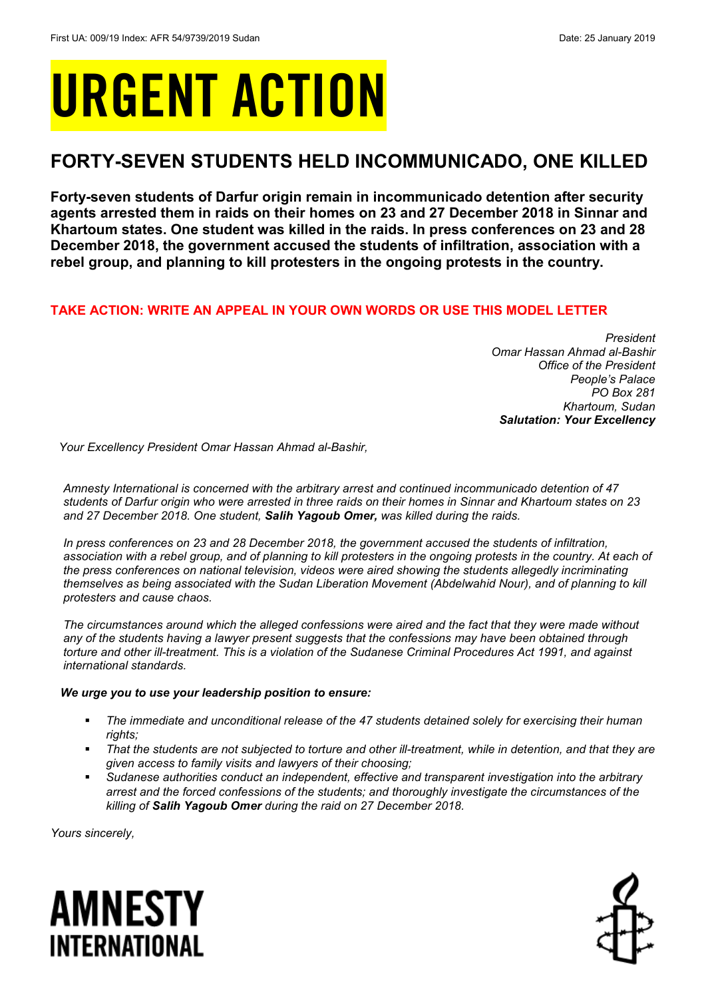# URGENT ACTION

## **FORTY-SEVEN STUDENTS HELD INCOMMUNICADO, ONE KILLED**

**Forty-seven students of Darfur origin remain in incommunicado detention after security agents arrested them in raids on their homes on 23 and 27 December 2018 in Sinnar and Khartoum states. One student was killed in the raids. In press conferences on 23 and 28 December 2018, the government accused the students of infiltration, association with a rebel group, and planning to kill protesters in the ongoing protests in the country.** 

## **TAKE ACTION: WRITE AN APPEAL IN YOUR OWN WORDS OR USE THIS MODEL LETTER**

*President Omar Hassan Ahmad al-Bashir Office of the President People's Palace PO Box 281 Khartoum, Sudan Salutation: Your Excellency*

*Your Excellency President Omar Hassan Ahmad al-Bashir,*

*Amnesty International is concerned with the arbitrary arrest and continued incommunicado detention of 47 students of Darfur origin who were arrested in three raids on their homes in Sinnar and Khartoum states on 23 and 27 December 2018. One student, Salih Yagoub Omer, was killed during the raids.* 

*In press conferences on 23 and 28 December 2018, the government accused the students of infiltration, association with a rebel group, and of planning to kill protesters in the ongoing protests in the country. At each of the press conferences on national television, videos were aired showing the students allegedly incriminating*  themselves as being associated with the Sudan Liberation Movement (Abdelwahid Nour), and of planning to kill *protesters and cause chaos.* 

*The circumstances around which the alleged confessions were aired and the fact that they were made without any of the students having a lawyer present suggests that the confessions may have been obtained through torture and other ill-treatment. This is a violation of the Sudanese Criminal Procedures Act 1991, and against international standards.* 

## *We urge you to use your leadership position to ensure:*

- *The immediate and unconditional release of the 47 students detained solely for exercising their human rights;*
- *That the students are not subjected to torture and other ill-treatment, while in detention, and that they are given access to family visits and lawyers of their choosing;*
- *Sudanese authorities conduct an independent, effective and transparent investigation into the arbitrary arrest and the forced confessions of the students; and thoroughly investigate the circumstances of the killing of Salih Yagoub Omer during the raid on 27 December 2018.*

*Yours sincerely,*